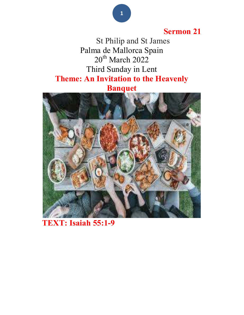#### Sermon 21

 St Philip and St James Palma de Mallorca Spain  $20^{th}$  March  $2022$ Third Sunday in Lent Theme: An Invitation to the Heavenly Banquet



### TEXT: Isaiah 55:1-9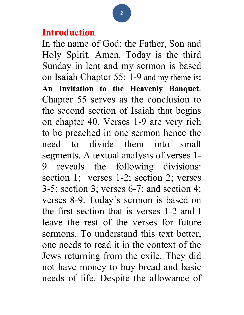## Introduction

In the name of God: the Father, Son and Holy Spirit. Amen. Today is the third Sunday in lent and my sermon is based on Isaiah Chapter 55: 1-9 and my theme is: An Invitation to the Heavenly Banquet. Chapter 55 serves as the conclusion to the second section of Isaiah that begins on chapter 40. Verses 1-9 are very rich to be preached in one sermon hence the need to divide them into small segments. A textual analysis of verses 1- 9 reveals the following divisions: section 1; verses 1-2; section 2; verses 3-5; section 3; verses 6-7; and section 4; verses 8-9. Today´s sermon is based on the first section that is verses 1-2 and I leave the rest of the verses for future sermons. To understand this text better, one needs to read it in the context of the Jews returning from the exile. They did not have money to buy bread and basic needs of life. Despite the allowance of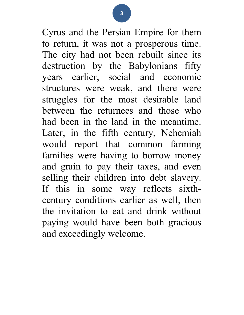Cyrus and the Persian Empire for them to return, it was not a prosperous time. The city had not been rebuilt since its destruction by the Babylonians fifty years earlier, social and economic structures were weak, and there were struggles for the most desirable land between the returnees and those who had been in the land in the meantime. Later, in the fifth century, Nehemiah would report that common farming families were having to borrow money and grain to pay their taxes, and even selling their children into debt slavery. If this in some way reflects sixthcentury conditions earlier as well, then the invitation to eat and drink without paying would have been both gracious and exceedingly welcome.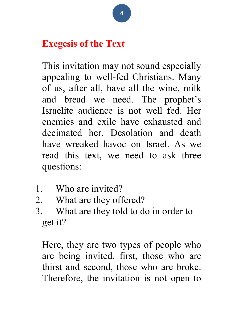# Exegesis of the Text

This invitation may not sound especially appealing to well-fed Christians. Many of us, after all, have all the wine, milk and bread we need. The prophet's Israelite audience is not well fed. Her enemies and exile have exhausted and decimated her. Desolation and death have wreaked havoc on Israel. As we read this text, we need to ask three questions:

- 1. Who are invited?
- 2. What are they offered?
- 3. What are they told to do in order to get it?

Here, they are two types of people who are being invited, first, those who are thirst and second, those who are broke. Therefore, the invitation is not open to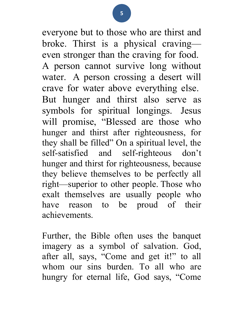everyone but to those who are thirst and broke. Thirst is a physical craving even stronger than the craving for food. A person cannot survive long without water. A person crossing a desert will crave for water above everything else. But hunger and thirst also serve as symbols for spiritual longings. Jesus will promise, "Blessed are those who hunger and thirst after righteousness, for they shall be filled" On a spiritual level, the self-satisfied and self-righteous don't hunger and thirst for righteousness, because they believe themselves to be perfectly all right—superior to other people. Those who exalt themselves are usually people who have reason to be proud of their achievements.

Further, the Bible often uses the banquet imagery as a symbol of salvation. God, after all, says, "Come and get it!" to all whom our sins burden. To all who are hungry for eternal life, God says, "Come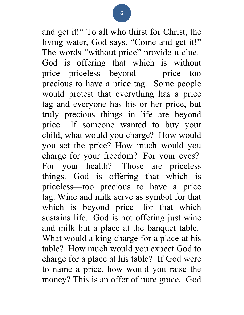and get it!" To all who thirst for Christ, the living water, God says, "Come and get it!" The words "without price" provide a clue. God is offering that which is without price—priceless—beyond price—too precious to have a price tag. Some people would protest that everything has a price tag and everyone has his or her price, but truly precious things in life are beyond price. If someone wanted to buy your child, what would you charge? How would you set the price? How much would you charge for your freedom? For your eyes? For your health? Those are priceless things. God is offering that which is priceless—too precious to have a price tag. Wine and milk serve as symbol for that which is beyond price—for that which sustains life. God is not offering just wine and milk but a place at the banquet table. What would a king charge for a place at his table? How much would you expect God to charge for a place at his table? If God were to name a price, how would you raise the money? This is an offer of pure grace. God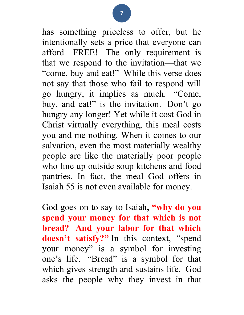has something priceless to offer, but he intentionally sets a price that everyone can afford—FREE! The only requirement is that we respond to the invitation—that we "come, buy and eat!" While this verse does not say that those who fail to respond will go hungry, it implies as much. "Come, buy, and eat!" is the invitation. Don't go hungry any longer! Yet while it cost God in Christ virtually everything, this meal costs you and me nothing. When it comes to our salvation, even the most materially wealthy people are like the materially poor people who line up outside soup kitchens and food pantries. In fact, the meal God offers in Isaiah 55 is not even available for money.

God goes on to say to Isaiah, "why do you spend your money for that which is not bread? And your labor for that which doesn't satisfy?" In this context, "spend your money" is a symbol for investing one's life. "Bread" is a symbol for that which gives strength and sustains life. God asks the people why they invest in that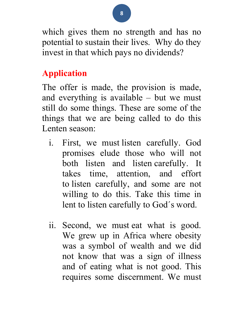which gives them no strength and has no potential to sustain their lives. Why do they invest in that which pays no dividends?

## Application

The offer is made, the provision is made, and everything is available – but we must still do some things. These are some of the things that we are being called to do this Lenten season:

- i. First, we must listen carefully. God promises elude those who will not both listen and listen carefully. It takes time, attention, and effort to listen carefully, and some are not willing to do this. Take this time in lent to listen carefully to God´s word.
- ii. Second, we must eat what is good. We grew up in Africa where obesity was a symbol of wealth and we did not know that was a sign of illness and of eating what is not good. This requires some discernment. We must